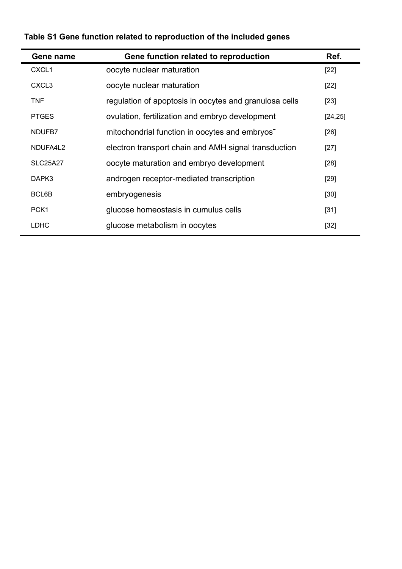| Gene name         | Gene function related to reproduction                      | Ref.     |
|-------------------|------------------------------------------------------------|----------|
| CXCL <sub>1</sub> | oocyte nuclear maturation                                  | $[22]$   |
| CXCL <sub>3</sub> | oocyte nuclear maturation                                  | $[22]$   |
| <b>TNF</b>        | regulation of apoptosis in oocytes and granulosa cells     | $[23]$   |
| <b>PTGES</b>      | ovulation, fertilization and embryo development            | [24, 25] |
| NDUFB7            | mitochondrial function in oocytes and embryos <sup>-</sup> | $[26]$   |
| NDUFA4L2          | electron transport chain and AMH signal transduction       | $[27]$   |
| <b>SLC25A27</b>   | oocyte maturation and embryo development                   | $[28]$   |
| DAPK3             | androgen receptor-mediated transcription                   | $[29]$   |
| BCL6B             | embryogenesis                                              | $[30]$   |
| PCK <sub>1</sub>  | glucose homeostasis in cumulus cells                       | $[31]$   |
| <b>LDHC</b>       | glucose metabolism in oocytes                              | $[32]$   |

## **Table S1 Gene function related to reproduction of the included genes**